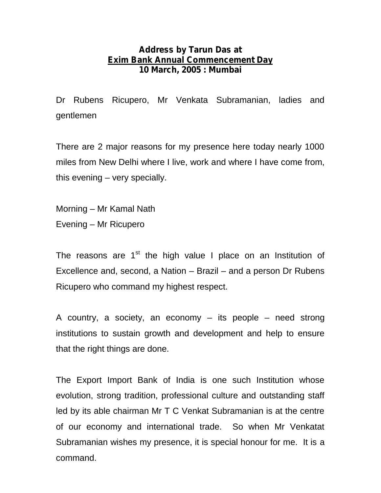## **Address by Tarun Das at Exim Bank Annual Commencement Day 10 March, 2005 : Mumbai**

Dr Rubens Ricupero, Mr Venkata Subramanian, ladies and gentlemen

There are 2 major reasons for my presence here today nearly 1000 miles from New Delhi where I live, work and where I have come from, this evening – very specially.

Morning – Mr Kamal Nath

Evening – Mr Ricupero

The reasons are  $1<sup>st</sup>$  the high value I place on an Institution of Excellence and, second, a Nation – Brazil – and a person Dr Rubens Ricupero who command my highest respect.

A country, a society, an economy – its people – need strong institutions to sustain growth and development and help to ensure that the right things are done.

The Export Import Bank of India is one such Institution whose evolution, strong tradition, professional culture and outstanding staff led by its able chairman Mr T C Venkat Subramanian is at the centre of our economy and international trade. So when Mr Venkatat Subramanian wishes my presence, it is special honour for me. It is a command.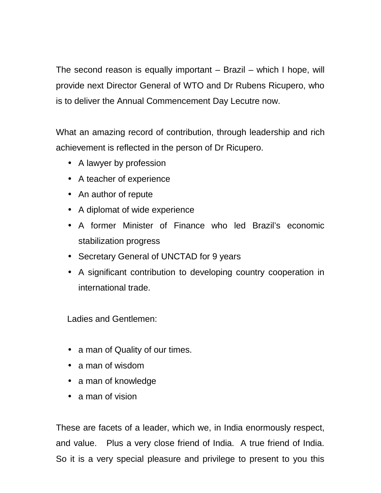The second reason is equally important – Brazil – which I hope, will provide next Director General of WTO and Dr Rubens Ricupero, who is to deliver the Annual Commencement Day Lecutre now.

What an amazing record of contribution, through leadership and rich achievement is reflected in the person of Dr Ricupero.

- A lawyer by profession
- A teacher of experience
- ) An author of repute
- A diplomat of wide experience
- A former Minister of Finance who led Brazil's economic stabilization progress
- Secretary General of UNCTAD for 9 years
- A significant contribution to developing country cooperation in international trade.

Ladies and Gentlemen:

- ) a man of Quality of our times.
- a man of wisdom
- ) a man of knowledge
- a man of vision

These are facets of a leader, which we, in India enormously respect, and value. Plus a very close friend of India. A true friend of India. So it is a very special pleasure and privilege to present to you this